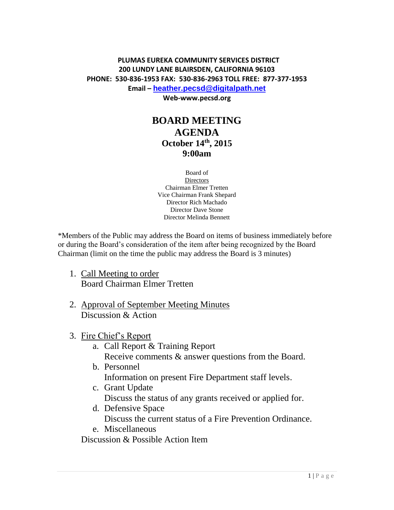## **PLUMAS EUREKA COMMUNITY SERVICES DISTRICT 200 LUNDY LANE BLAIRSDEN, CALIFORNIA 96103 PHONE: 530-836-1953 FAX: 530-836-2963 TOLL FREE: 877-377-1953 Email – [heather.pecsd@digitalpath.net](mailto:heather.pecsd@digitalpath.net)**

**Web-www.pecsd.org**

## **BOARD MEETING AGENDA October 14th , 2015 9:00am**

Board of **Directors** Chairman Elmer Tretten Vice Chairman Frank Shepard Director Rich Machado Director Dave Stone Director Melinda Bennett

\*Members of the Public may address the Board on items of business immediately before or during the Board's consideration of the item after being recognized by the Board Chairman (limit on the time the public may address the Board is 3 minutes)

- 1. Call Meeting to order Board Chairman Elmer Tretten
- 2. Approval of September Meeting Minutes Discussion & Action
- 3. Fire Chief's Report
	- a. Call Report & Training Report Receive comments & answer questions from the Board.
	- b. Personnel Information on present Fire Department staff levels.
	- c. Grant Update Discuss the status of any grants received or applied for.
	- d. Defensive Space Discuss the current status of a Fire Prevention Ordinance.
	- e. Miscellaneous

Discussion & Possible Action Item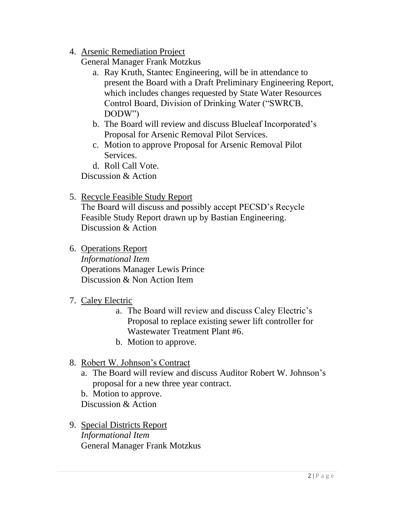4. Arsenic Remediation Project

General Manager Frank Motzkus

- a. Ray Kruth, Stantec Engineering, will be in attendance to present the Board with a Draft Preliminary Engineering Report, which includes changes requested by State Water Resources Control Board, Division of Drinking Water ("SWRCB, DODW")
- b. The Board will review and discuss Blueleaf Incorporated's Proposal for Arsenic Removal Pilot Services.
- c. Motion to approve Proposal for Arsenic Removal Pilot Services.
- d. Roll Call Vote.

Discussion & Action

5. Recycle Feasible Study Report

The Board will discuss and possibly accept PECSD's Recycle Feasible Study Report drawn up by Bastian Engineering. Discussion & Action

6. Operations Report

*Informational Item* Operations Manager Lewis Prince Discussion & Non Action Item

- 7. Caley Electric
	- a. The Board will review and discuss Caley Electric's Proposal to replace existing sewer lift controller for Wastewater Treatment Plant #6.
	- b. Motion to approve.
- 8. Robert W. Johnson's Contract
	- a. The Board will review and discuss Auditor Robert W. Johnson's proposal for a new three year contract.
	- b. Motion to approve.

Discussion & Action

9. Special Districts Report *Informational Item* General Manager Frank Motzkus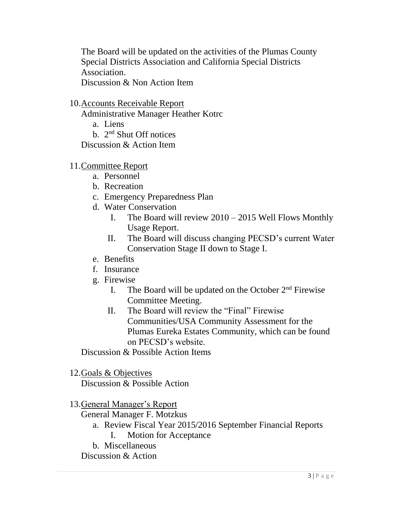The Board will be updated on the activities of the Plumas County Special Districts Association and California Special Districts Association. Discussion & Non Action Item

10.Accounts Receivable Report

Administrative Manager Heather Kotrc

a. Liens

b. 2<sup>nd</sup> Shut Off notices

Discussion & Action Item

- 11.Committee Report
	- a. Personnel
	- b. Recreation
	- c. Emergency Preparedness Plan
	- d. Water Conservation
		- I. The Board will review 2010 2015 Well Flows Monthly Usage Report.
		- II. The Board will discuss changing PECSD's current Water Conservation Stage II down to Stage I.
	- e. Benefits
	- f. Insurance
	- g. Firewise
		- I. The Board will be updated on the October  $2<sup>nd</sup>$  Firewise Committee Meeting.
		- II. The Board will review the "Final" Firewise Communities/USA Community Assessment for the Plumas Eureka Estates Community, which can be found on PECSD's website.

Discussion & Possible Action Items

12.Goals & Objectives

Discussion & Possible Action

## 13.General Manager's Report

General Manager F. Motzkus

- a. Review Fiscal Year 2015/2016 September Financial Reports
	- I. Motion for Acceptance
- b. Miscellaneous

Discussion & Action